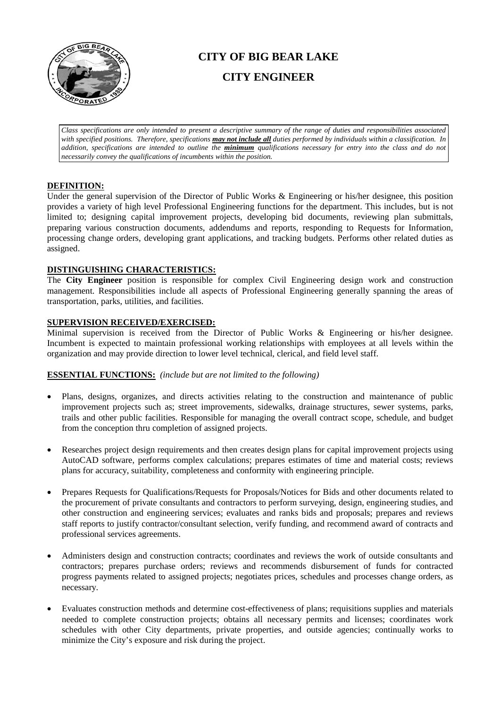

# **CITY OF BIG BEAR LAKE CITY ENGINEER**

*Class specifications are only intended to present a descriptive summary of the range of duties and responsibilities associated with specified positions. Therefore, specifications may not include all duties performed by individuals within a classification. In addition, specifications are intended to outline the minimum qualifications necessary for entry into the class and do not necessarily convey the qualifications of incumbents within the position.*

# **DEFINITION:**

Under the general supervision of the Director of Public Works & Engineering or his/her designee, this position provides a variety of high level Professional Engineering functions for the department. This includes, but is not limited to; designing capital improvement projects, developing bid documents, reviewing plan submittals, preparing various construction documents, addendums and reports, responding to Requests for Information, processing change orders, developing grant applications, and tracking budgets. Performs other related duties as assigned.

# **DISTINGUISHING CHARACTERISTICS:**

The **City Engineer** position is responsible for complex Civil Engineering design work and construction management. Responsibilities include all aspects of Professional Engineering generally spanning the areas of transportation, parks, utilities, and facilities.

# **SUPERVISION RECEIVED/EXERCISED:**

Minimal supervision is received from the Director of Public Works & Engineering or his/her designee. Incumbent is expected to maintain professional working relationships with employees at all levels within the organization and may provide direction to lower level technical, clerical, and field level staff.

# **ESSENTIAL FUNCTIONS:** *(include but are not limited to the following)*

- Plans, designs, organizes, and directs activities relating to the construction and maintenance of public improvement projects such as; street improvements, sidewalks, drainage structures, sewer systems, parks, trails and other public facilities. Responsible for managing the overall contract scope, schedule, and budget from the conception thru completion of assigned projects.
- Researches project design requirements and then creates design plans for capital improvement projects using AutoCAD software, performs complex calculations; prepares estimates of time and material costs; reviews plans for accuracy, suitability, completeness and conformity with engineering principle.
- Prepares Requests for Qualifications/Requests for Proposals/Notices for Bids and other documents related to the procurement of private consultants and contractors to perform surveying, design, engineering studies, and other construction and engineering services; evaluates and ranks bids and proposals; prepares and reviews staff reports to justify contractor/consultant selection, verify funding, and recommend award of contracts and professional services agreements.
- Administers design and construction contracts; coordinates and reviews the work of outside consultants and contractors; prepares purchase orders; reviews and recommends disbursement of funds for contracted progress payments related to assigned projects; negotiates prices, schedules and processes change orders, as necessary.
- Evaluates construction methods and determine cost-effectiveness of plans; requisitions supplies and materials needed to complete construction projects; obtains all necessary permits and licenses; coordinates work schedules with other City departments, private properties, and outside agencies; continually works to minimize the City's exposure and risk during the project.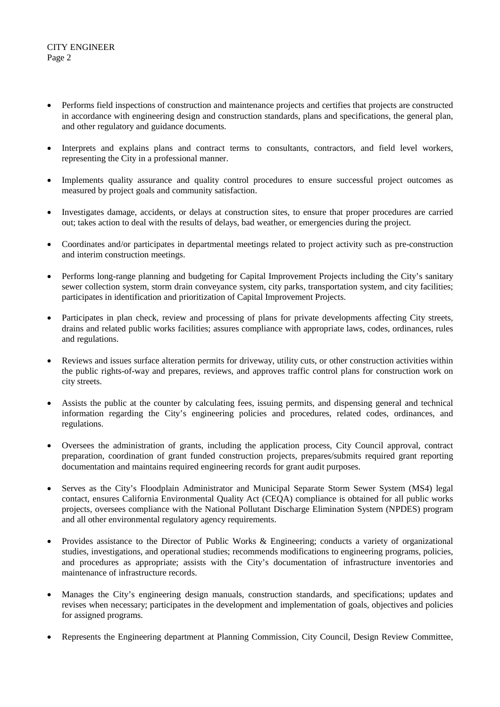# CITY ENGINEER Page 2

- Performs field inspections of construction and maintenance projects and certifies that projects are constructed in accordance with engineering design and construction standards, plans and specifications, the general plan, and other regulatory and guidance documents.
- Interprets and explains plans and contract terms to consultants, contractors, and field level workers, representing the City in a professional manner.
- Implements quality assurance and quality control procedures to ensure successful project outcomes as measured by project goals and community satisfaction.
- Investigates damage, accidents, or delays at construction sites, to ensure that proper procedures are carried out; takes action to deal with the results of delays, bad weather, or emergencies during the project.
- Coordinates and/or participates in departmental meetings related to project activity such as pre-construction and interim construction meetings.
- Performs long-range planning and budgeting for Capital Improvement Projects including the City's sanitary sewer collection system, storm drain conveyance system, city parks, transportation system, and city facilities; participates in identification and prioritization of Capital Improvement Projects.
- Participates in plan check, review and processing of plans for private developments affecting City streets, drains and related public works facilities; assures compliance with appropriate laws, codes, ordinances, rules and regulations.
- Reviews and issues surface alteration permits for driveway, utility cuts, or other construction activities within the public rights-of-way and prepares, reviews, and approves traffic control plans for construction work on city streets.
- Assists the public at the counter by calculating fees, issuing permits, and dispensing general and technical information regarding the City's engineering policies and procedures, related codes, ordinances, and regulations.
- Oversees the administration of grants, including the application process, City Council approval, contract preparation, coordination of grant funded construction projects, prepares/submits required grant reporting documentation and maintains required engineering records for grant audit purposes.
- Serves as the City's Floodplain Administrator and Municipal Separate Storm Sewer System (MS4) legal contact, ensures California Environmental Quality Act (CEQA) compliance is obtained for all public works projects, oversees compliance with the National Pollutant Discharge Elimination System (NPDES) program and all other environmental regulatory agency requirements.
- Provides assistance to the Director of Public Works & Engineering; conducts a variety of organizational studies, investigations, and operational studies; recommends modifications to engineering programs, policies, and procedures as appropriate; assists with the City's documentation of infrastructure inventories and maintenance of infrastructure records.
- Manages the City's engineering design manuals, construction standards, and specifications; updates and revises when necessary; participates in the development and implementation of goals, objectives and policies for assigned programs.
- Represents the Engineering department at Planning Commission, City Council, Design Review Committee,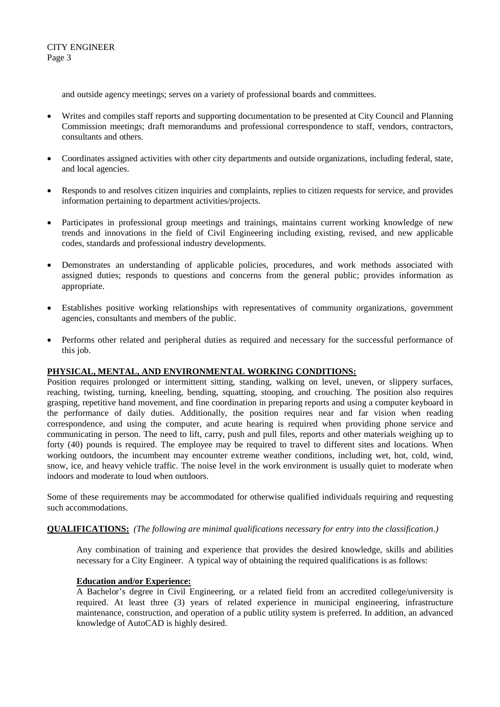and outside agency meetings; serves on a variety of professional boards and committees.

- Writes and compiles staff reports and supporting documentation to be presented at City Council and Planning Commission meetings; draft memorandums and professional correspondence to staff, vendors, contractors, consultants and others.
- Coordinates assigned activities with other city departments and outside organizations, including federal, state, and local agencies.
- Responds to and resolves citizen inquiries and complaints, replies to citizen requests for service, and provides information pertaining to department activities/projects.
- Participates in professional group meetings and trainings, maintains current working knowledge of new trends and innovations in the field of Civil Engineering including existing, revised, and new applicable codes, standards and professional industry developments.
- Demonstrates an understanding of applicable policies, procedures, and work methods associated with assigned duties; responds to questions and concerns from the general public; provides information as appropriate.
- Establishes positive working relationships with representatives of community organizations, government agencies, consultants and members of the public.
- Performs other related and peripheral duties as required and necessary for the successful performance of this job.

# **PHYSICAL, MENTAL, AND ENVIRONMENTAL WORKING CONDITIONS:**

Position requires prolonged or intermittent sitting, standing, walking on level, uneven, or slippery surfaces, reaching, twisting, turning, kneeling, bending, squatting, stooping, and crouching. The position also requires grasping, repetitive hand movement, and fine coordination in preparing reports and using a computer keyboard in the performance of daily duties. Additionally, the position requires near and far vision when reading correspondence, and using the computer, and acute hearing is required when providing phone service and communicating in person. The need to lift, carry, push and pull files, reports and other materials weighing up to forty (40) pounds is required. The employee may be required to travel to different sites and locations. When working outdoors, the incumbent may encounter extreme weather conditions, including wet, hot, cold, wind, snow, ice, and heavy vehicle traffic. The noise level in the work environment is usually quiet to moderate when indoors and moderate to loud when outdoors.

Some of these requirements may be accommodated for otherwise qualified individuals requiring and requesting such accommodations.

# **QUALIFICATIONS:** *(The following are minimal qualifications necessary for entry into the classification.)*

Any combination of training and experience that provides the desired knowledge, skills and abilities necessary for a City Engineer. A typical way of obtaining the required qualifications is as follows:

# **Education and/or Experience:**

A Bachelor's degree in Civil Engineering, or a related field from an accredited college/university is required. At least three (3) years of related experience in municipal engineering, infrastructure maintenance, construction, and operation of a public utility system is preferred. In addition, an advanced knowledge of AutoCAD is highly desired.